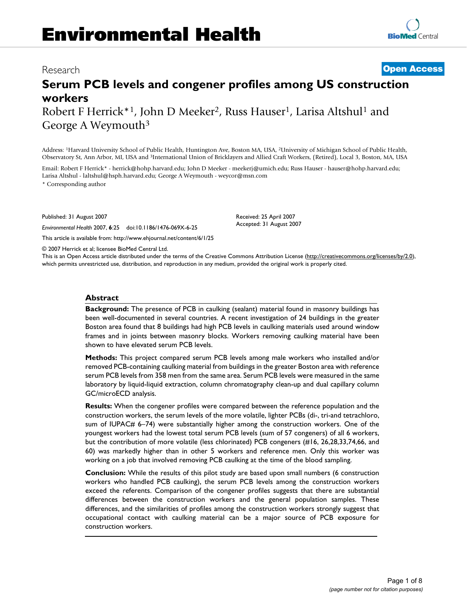# Research **[Open Access](http://www.biomedcentral.com/info/about/charter/)**

# **Serum PCB levels and congener profiles among US construction workers**

Robert F Herrick<sup>\*1</sup>, John D Meeker<sup>2</sup>, Russ Hauser<sup>1</sup>, Larisa Altshul<sup>1</sup> and George A Weymouth3

Address: 1Harvard University School of Public Health, Huntington Ave, Boston MA, USA, 2University of Michigan School of Public Health, Observatory St, Ann Arbor, MI, USA and 3International Union of Bricklayers and Allied Craft Workers, (Retired), Local 3, Boston, MA, USA

Email: Robert F Herrick\* - herrick@hohp.harvard.edu; John D Meeker - meekerj@umich.edu; Russ Hauser - hauser@hohp.harvard.edu; Larisa Altshul - laltshul@hsph.harvard.edu; George A Weymouth - weycor@msn.com

\* Corresponding author

Published: 31 August 2007

*Environmental Health* 2007, **6**:25 doi:10.1186/1476-069X-6-25

[This article is available from: http://www.ehjournal.net/content/6/1/25](http://www.ehjournal.net/content/6/1/25)

© 2007 Herrick et al; licensee BioMed Central Ltd.

This is an Open Access article distributed under the terms of the Creative Commons Attribution License [\(http://creativecommons.org/licenses/by/2.0\)](http://creativecommons.org/licenses/by/2.0), which permits unrestricted use, distribution, and reproduction in any medium, provided the original work is properly cited.

Received: 25 April 2007 Accepted: 31 August 2007

#### **Abstract**

**Background:** The presence of PCB in caulking (sealant) material found in masonry buildings has been well-documented in several countries. A recent investigation of 24 buildings in the greater Boston area found that 8 buildings had high PCB levels in caulking materials used around window frames and in joints between masonry blocks. Workers removing caulking material have been shown to have elevated serum PCB levels.

**Methods:** This project compared serum PCB levels among male workers who installed and/or removed PCB-containing caulking material from buildings in the greater Boston area with reference serum PCB levels from 358 men from the same area. Serum PCB levels were measured in the same laboratory by liquid-liquid extraction, column chromatography clean-up and dual capillary column GC/microECD analysis.

**Results:** When the congener profiles were compared between the reference population and the construction workers, the serum levels of the more volatile, lighter PCBs (di-, tri-and tetrachloro, sum of IUPAC# 6–74) were substantially higher among the construction workers. One of the youngest workers had the lowest total serum PCB levels (sum of 57 congeners) of all 6 workers, but the contribution of more volatile (less chlorinated) PCB congeners (#16, 26,28,33,74,66, and 60) was markedly higher than in other 5 workers and reference men. Only this worker was working on a job that involved removing PCB caulking at the time of the blood sampling.

**Conclusion:** While the results of this pilot study are based upon small numbers (6 construction workers who handled PCB caulking), the serum PCB levels among the construction workers exceed the referents. Comparison of the congener profiles suggests that there are substantial differences between the construction workers and the general population samples. These differences, and the similarities of profiles among the construction workers strongly suggest that occupational contact with caulking material can be a major source of PCB exposure for construction workers.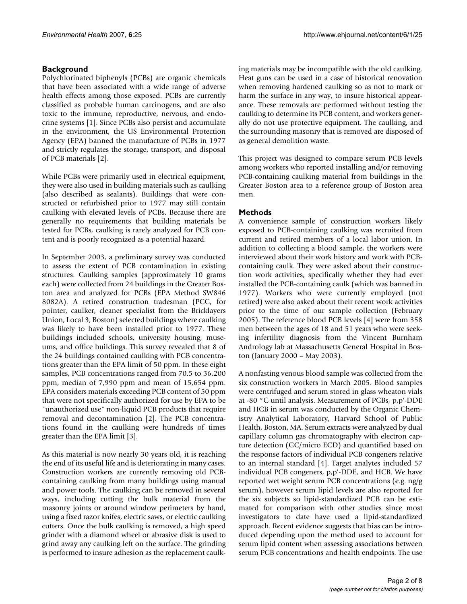# **Background**

Polychlorinated biphenyls (PCBs) are organic chemicals that have been associated with a wide range of adverse health effects among those exposed. PCBs are currently classified as probable human carcinogens, and are also toxic to the immune, reproductive, nervous, and endocrine systems [1]. Since PCBs also persist and accumulate in the environment, the US Environmental Protection Agency (EPA) banned the manufacture of PCBs in 1977 and strictly regulates the storage, transport, and disposal of PCB materials [2].

While PCBs were primarily used in electrical equipment, they were also used in building materials such as caulking (also described as sealants). Buildings that were constructed or refurbished prior to 1977 may still contain caulking with elevated levels of PCBs. Because there are generally no requirements that building materials be tested for PCBs, caulking is rarely analyzed for PCB content and is poorly recognized as a potential hazard.

In September 2003, a preliminary survey was conducted to assess the extent of PCB contamination in existing structures. Caulking samples (approximately 10 grams each) were collected from 24 buildings in the Greater Boston area and analyzed for PCBs (EPA Method SW846 8082A). A retired construction tradesman (PCC, for pointer, caulker, cleaner specialist from the Bricklayers Union, Local 3, Boston) selected buildings where caulking was likely to have been installed prior to 1977. These buildings included schools, university housing, museums, and office buildings. This survey revealed that 8 of the 24 buildings contained caulking with PCB concentrations greater than the EPA limit of 50 ppm. In these eight samples, PCB concentrations ranged from 70.5 to 36,200 ppm, median of 7,990 ppm and mean of 15,654 ppm. EPA considers materials exceeding PCB content of 50 ppm that were not specifically authorized for use by EPA to be "unauthorized use" non-liquid PCB products that require removal and decontamination [2]. The PCB concentrations found in the caulking were hundreds of times greater than the EPA limit [3].

As this material is now nearly 30 years old, it is reaching the end of its useful life and is deteriorating in many cases. Construction workers are currently removing old PCBcontaining caulking from many buildings using manual and power tools. The caulking can be removed in several ways, including cutting the bulk material from the masonry joints or around window perimeters by hand, using a fixed razor knifes, electric saws, or electric caulking cutters. Once the bulk caulking is removed, a high speed grinder with a diamond wheel or abrasive disk is used to grind away any caulking left on the surface. The grinding is performed to insure adhesion as the replacement caulking materials may be incompatible with the old caulking. Heat guns can be used in a case of historical renovation when removing hardened caulking so as not to mark or harm the surface in any way, to insure historical appearance. These removals are performed without testing the caulking to determine its PCB content, and workers generally do not use protective equipment. The caulking, and the surrounding masonry that is removed are disposed of as general demolition waste.

This project was designed to compare serum PCB levels among workers who reported installing and/or removing PCB-containing caulking material from buildings in the Greater Boston area to a reference group of Boston area men.

# **Methods**

A convenience sample of construction workers likely exposed to PCB-containing caulking was recruited from current and retired members of a local labor union. In addition to collecting a blood sample, the workers were interviewed about their work history and work with PCBcontaining caulk. They were asked about their construction work activities, specifically whether they had ever installed the PCB-containing caulk (which was banned in 1977). Workers who were currently employed (not retired) were also asked about their recent work activities prior to the time of our sample collection (February 2005). The reference blood PCB levels [4] were from 358 men between the ages of 18 and 51 years who were seeking infertility diagnosis from the Vincent Burnham Andrology lab at Massachusetts General Hospital in Boston (January 2000 – May 2003).

A nonfasting venous blood sample was collected from the six construction workers in March 2005. Blood samples were centrifuged and serum stored in glass wheaton vials at -80 °C until analysis. Measurement of PCBs, p,p'-DDE and HCB in serum was conducted by the Organic Chemistry Analytical Laboratory, Harvard School of Public Health, Boston, MA. Serum extracts were analyzed by dual capillary column gas chromatography with electron capture detection (GC/micro ECD) and quantified based on the response factors of individual PCB congeners relative to an internal standard [4]. Target analytes included 57 individual PCB congeners, p,p'-DDE, and HCB. We have reported wet weight serum PCB concentrations (e.g. ng/g serum), however serum lipid levels are also reported for the six subjects so lipid-standardized PCB can be estimated for comparison with other studies since most investigators to date have used a lipid-standardized approach. Recent evidence suggests that bias can be introduced depending upon the method used to account for serum lipid content when assessing associations between serum PCB concentrations and health endpoints. The use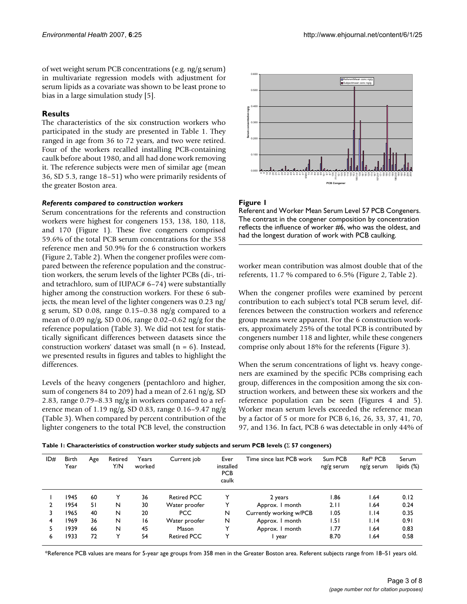of wet weight serum PCB concentrations (e.g. ng/g serum) in multivariate regression models with adjustment for serum lipids as a covariate was shown to be least prone to bias in a large simulation study [5].

## **Results**

The characteristics of the six construction workers who participated in the study are presented in Table 1. They ranged in age from 36 to 72 years, and two were retired. Four of the workers recalled installing PCB-containing caulk before about 1980, and all had done work removing it. The reference subjects were men of similar age (mean 36, SD 5.3, range 18–51) who were primarily residents of the greater Boston area.

#### *Referents compared to construction workers*

Serum concentrations for the referents and construction workers were highest for congeners 153, 138, 180, 118, and 170 (Figure 1). These five congeners comprised 59.6% of the total PCB serum concentrations for the 358 reference men and 50.9% for the 6 construction workers (Figure 2, Table 2). When the congener profiles were compared between the reference population and the construction workers, the serum levels of the lighter PCBs (di-, triand tetrachloro, sum of IUPAC# 6–74) were substantially higher among the construction workers. For these 6 subjects, the mean level of the lighter congeners was 0.23 ng/ g serum, SD 0.08, range 0.15–0.38 ng/g compared to a mean of 0.09 ng/g, SD 0.06, range 0.02–0.62 ng/g for the reference population (Table 3). We did not test for statistically significant differences between datasets since the construction workers' dataset was small  $(n = 6)$ . Instead, we presented results in figures and tables to highlight the differences.

Levels of the heavy congeners (pentachloro and higher, sum of congeners 84 to 209) had a mean of 2.61 ng/g, SD 2.83, range 0.79–8.33 ng/g in workers compared to a reference mean of 1.19 ng/g, SD 0.83, range 0.16–9.47 ng/g (Table 3). When compared by percent contribution of the lighter congeners to the total PCB level, the construction



#### **Figure 1**

Referent and Worker Mean Serum Level 57 PCB Congeners. The contrast in the congener composition by concentration reflects the influence of worker #6, who was the oldest, and had the longest duration of work with PCB caulking.

worker mean contribution was almost double that of the referents, 11.7 % compared to 6.5% (Figure 2, Table 2).

When the congener profiles were examined by percent contribution to each subject's total PCB serum level, differences between the construction workers and reference group means were apparent. For the 6 construction workers, approximately 25% of the total PCB is contributed by congeners number 118 and lighter, while these congeners comprise only about 18% for the referents (Figure 3).

When the serum concentrations of light vs. heavy congeners are examined by the specific PCBs comprising each group, differences in the composition among the six construction workers, and between these six workers and the reference population can be seen (Figures 4 and 5). Worker mean serum levels exceeded the reference mean by a factor of 5 or more for PCB 6,16, 26, 33, 37, 41, 70, 97, and 136. In fact, PCB 6 was detectable in only 44% of

| Table 1: Characteristics of construction worker study subjects and serum PCB levels ( $\Sigma$ 57 congeners) |  |  |  |  |  |  |
|--------------------------------------------------------------------------------------------------------------|--|--|--|--|--|--|
|                                                                                                              |  |  |  |  |  |  |

| ID# | <b>Birth</b><br>Year | Age | Retired<br>Y/N | Years<br>worked | Current job        | Ever<br>installed<br><b>PCB</b><br>caulk | Time since last PCB work | Sum PCB<br>ng/g serum | Ref <sup>*</sup> PCB<br>$ng/g$ serum | Serum<br>lipids (%) |
|-----|----------------------|-----|----------------|-----------------|--------------------|------------------------------------------|--------------------------|-----------------------|--------------------------------------|---------------------|
|     | 1945                 | 60  |                | 36              | <b>Retired PCC</b> |                                          | 2 years                  | 1.86                  | 64. ا                                | 0.12                |
|     | 1954                 | 51  | N              | 30              | Water proofer      |                                          | Approx. I month          | 2.11                  | 64. ا                                | 0.24                |
| 3   | 1965                 | 40  | N              | 20              | <b>PCC</b>         | N                                        | Currently working w/PCB  | 1.05                  | 1.14                                 | 0.35                |
| 4   | 1969                 | 36  | N              | 16              | Water proofer      | N                                        | Approx. I month          | 1.51                  | 1.14                                 | 0.91                |
| 5.  | 1939                 | 66  | N              | 45              | Mason              | Y                                        | Approx. I month          | 1.77                  | 64. ا                                | 0.83                |
| 6   | 1933                 | 72  |                | 54              | <b>Retired PCC</b> |                                          | I year                   | 8.70                  | 64. ا                                | 0.58                |

\*Reference PCB values are means for 5-year age groups from 358 men in the Greater Boston area. Referent subjects range from 18–51 years old.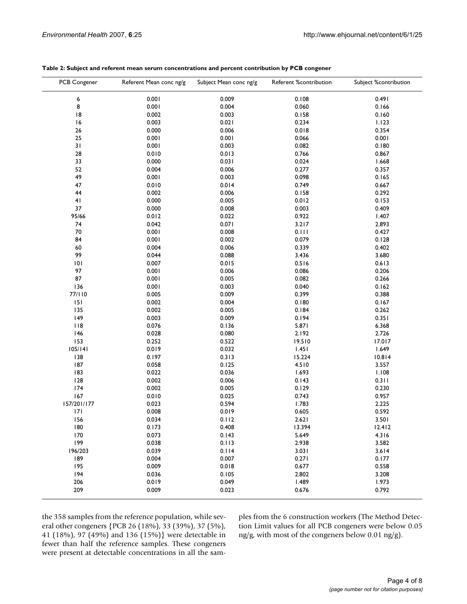| PCB Congener | Referent Mean conc ng/g | Subject Mean conc ng/g | Referent %contribution | Subject %contribution |
|--------------|-------------------------|------------------------|------------------------|-----------------------|
| 6            | 0.001                   | 0.009                  | 0.108                  | 0.491                 |
| 8            | 0.001                   | 0.004                  | 0.060                  | 0.166                 |
| 8            | 0.002                   | 0.003                  | 0.158                  | 0.160                 |
| 16           | 0.003                   | 0.021                  | 0.234                  | 1.123                 |
| 26           | 0.000                   | 0.006                  | 0.018                  | 0.354                 |
| 25           | 0.001                   | 0.001                  | 0.066                  | 0.001                 |
| 31           | 0.001                   | 0.003                  | 0.082                  | 0.180                 |
| 28           | 0.010                   | 0.013                  | 0.766                  | 0.867                 |
| 33           | 0.000                   | 0.031                  | 0.024                  | 1.668                 |
| 52           | 0.004                   | 0.006                  | 0.277                  | 0.357                 |
| 49           | 0.001                   | 0.003                  | 0.098                  | 0.165                 |
| 47           | 0.010                   | 0.014                  | 0.749                  | 0.667                 |
| 44           | 0.002                   | 0.006                  | 0.158                  | 0.292                 |
| 41           | 0.000                   | 0.005                  | 0.012                  | 0.153                 |
| 37           | 0.000                   | 0.008                  | 0.003                  | 0.409                 |
| 95/66        | 0.012                   | 0.022                  | 0.922                  | 1.407                 |
| 74           | 0.042                   | 0.071                  | 3.217                  | 2.893                 |
| 70           | 0.001                   | 0.008                  | 0.111                  | 0.427                 |
| 84           | 0.001                   | 0.002                  | 0.079                  | 0.128                 |
| 60           | 0.004                   | 0.006                  | 0.339                  | 0.402                 |
| 99           |                         |                        |                        |                       |
|              | 0.044                   | 0.088                  | 3.436                  | 3.680                 |
| 101          | 0.007                   | 0.015                  | 0.516                  | 0.613                 |
| 97           | 0.001                   | 0.006                  | 0.086                  | 0.206                 |
| 87           | 0.001                   | 0.005                  | 0.082                  | 0.266                 |
| 136          | 0.001                   | 0.003                  | 0.040                  | 0.162                 |
| 77/110       | 0.005                   | 0.009                  | 0.399                  | 0.388                 |
| 151          | 0.002                   | 0.004                  | 0.180                  | 0.167                 |
| 135          | 0.002                   | 0.005                  | 0.184                  | 0.262                 |
| 149          | 0.003                   | 0.009                  | 0.194                  | 0.351                 |
| 118          | 0.076                   | 0.136                  | 5.871                  | 6.368                 |
| 146          | 0.028                   | 0.080                  | 2.192                  | 2.726                 |
| 153          | 0.252                   | 0.522                  | 19.510                 | 17.017                |
| 105/141      | 0.019                   | 0.032                  | 1.451                  | 1.649                 |
| 138          | 0.197                   | 0.313                  | 15.224                 | 10.814                |
| 187          | 0.058                   | 0.125                  | 4.510                  | 3.557                 |
| 183          | 0.022                   | 0.036                  | 1.693                  | 1.108                 |
| 128          | 0.002                   | 0.006                  | 0.143                  | 0.311                 |
| 174          | 0.002                   | 0.005                  | 0.129                  | 0.230                 |
| 167          | 0.010                   | 0.025                  | 0.743                  | 0.957                 |
| 157/201/177  | 0.023                   | 0.594                  | 1.783                  | 2.225                 |
| 7            | 0.008                   | 0.019                  | 0.605                  | 0.592                 |
| 156          | 0.034                   | 0.112                  | 2.621                  | 3.501                 |
| 180          | 0.173                   | 0.408                  | 13.394                 | 12.412                |
| 170          | 0.073                   | 0.143                  | 5.649                  | 4.316                 |
| 199          | 0.038                   | 0.113                  | 2.938                  | 3.582                 |
| 196/203      | 0.039                   | 0.114                  | 3.031                  | 3.614                 |
| 189          | 0.004                   | 0.007                  | 0.271                  | 0.177                 |
| 195          | 0.009                   | 0.018                  | 0.677                  | 0.558                 |
| 194          | 0.036                   | 0.105                  | 2.802                  | 3.208                 |
| 206          | 0.019                   | 0.049                  | 1.489                  | 1.973                 |
| 209          | 0.009                   | 0.023                  | 0.676                  | 0.792                 |
|              |                         |                        |                        |                       |

#### **Table 2: Subject and referent mean serum concentrations and percent contribution by PCB congener**

the 358 samples from the reference population, while several other congeners {PCB 26 (18%), 33 (39%), 37 (5%), 41 (18%), 97 (49%) and 136 (15%)} were detectable in fewer than half the reference samples. These congeners were present at detectable concentrations in all the samples from the 6 construction workers (The Method Detection Limit values for all PCB congeners were below 0.05 ng/g, with most of the congeners below 0.01 ng/g).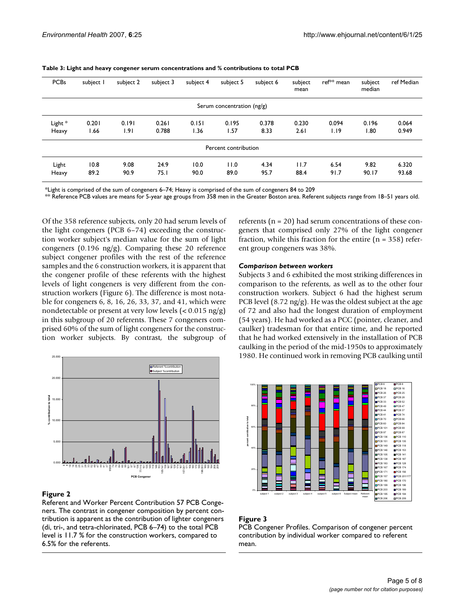| <b>PCBs</b> | subject I | subject 2 | subject 3 | subject 4 | subject 5                  | subject 6 | subject<br>mean | ref <sup>**</sup> mean | subject<br>median | ref Median |
|-------------|-----------|-----------|-----------|-----------|----------------------------|-----------|-----------------|------------------------|-------------------|------------|
|             |           |           |           |           | Serum concentration (ng/g) |           |                 |                        |                   |            |
| Light *     | 0.201     | 0.191     | 0.261     | 0.151     | 0.195                      | 0.378     | 0.230           | 0.094                  | 0.196             | 0.064      |
| Heavy       | 66. ا     | 1.91      | 0.788     | 1.36      | 1.57                       | 8.33      | 2.61            | 1.19                   | 1.80              | 0.949      |
|             |           |           |           |           | Percent contribution       |           |                 |                        |                   |            |
| Light       | 10.8      | 9.08      | 24.9      | 10.0      | 11.0                       | 4.34      | 11.7            | 6.54                   | 9.82              | 6.320      |
| Heavy       | 89.2      | 90.9      | 75.1      | 90.0      | 89.0                       | 95.7      | 88.4            | 91.7                   | 90.17             | 93.68      |

**Table 3: Light and heavy congener serum concentrations and % contributions to total PCB**

\*Light is comprised of the sum of congeners 6–74; Heavy is comprised of the sum of congeners 84 to 209

\*\* Reference PCB values are means for 5-year age groups from 358 men in the Greater Boston area. Referent subjects range from 18–51 years old.

Of the 358 reference subjects, only 20 had serum levels of the light congeners (PCB 6–74) exceeding the construction worker subject's median value for the sum of light congeners (0.196 ng/g). Comparing these 20 reference subject congener profiles with the rest of the reference samples and the 6 construction workers, it is apparent that the congener profile of these referents with the highest levels of light congeners is very different from the construction workers (Figure 6). The difference is most notable for congeners 6, 8, 16, 26, 33, 37, and 41, which were nondetectable or present at very low levels (< 0.015 ng/g) in this subgroup of 20 referents. These 7 congeners comprised 60% of the sum of light congeners for the construction worker subjects. By contrast, the subgroup of



## **Figure 2**

Referent and Worker Percent Contribution 57 PCB Congeners. The contrast in congener composition by percent contribution is apparent as the contribution of lighter congeners (di, tri-, and tetra-chlorinated, PCB 6–74) to the total PCB level is 11.7 % for the construction workers, compared to 6.5% for the referents.

referents ( $n = 20$ ) had serum concentrations of these congeners that comprised only 27% of the light congener fraction, while this fraction for the entire  $(n = 358)$  referent group congeners was 38%.

#### *Comparison between workers*

Subjects 3 and 6 exhibited the most striking differences in comparison to the referents, as well as to the other four construction workers. Subject 6 had the highest serum PCB level  $(8.72 \text{ ng/g})$ . He was the oldest subject at the age of 72 and also had the longest duration of employment (54 years). He had worked as a PCC (pointer, cleaner, and caulker) tradesman for that entire time, and he reported that he had worked extensively in the installation of PCB caulking in the period of the mid-1950s to approximately 1980. He continued work in removing PCB caulking until



## **Figure 3**

PCB Congener Profiles. Comparison of congener percent contribution by individual worker compared to referent mean.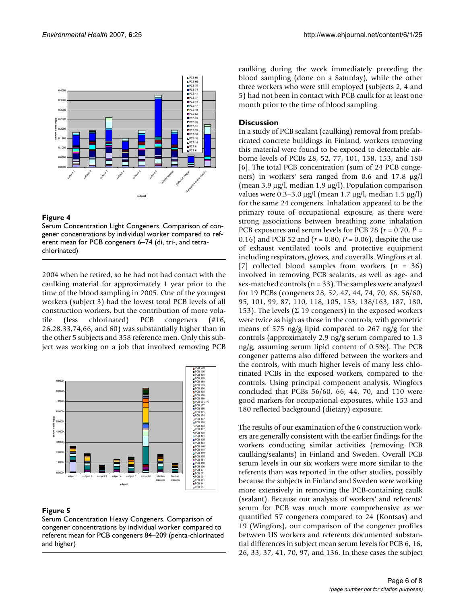

## **Figure 4**

Serum Concentration Light Congeners. Comparison of congener concentrations by individual worker compared to referent mean for PCB congeners 6–74 (di, tri-, and tetrachlorinated)

2004 when he retired, so he had not had contact with the caulking material for approximately 1 year prior to the time of the blood sampling in 2005. One of the youngest workers (subject 3) had the lowest total PCB levels of all construction workers, but the contribution of more volatile (less chlorinated) PCB congeners (#16, 26,28,33,74,66, and 60) was substantially higher than in the other 5 subjects and 358 reference men. Only this subject was working on a job that involved removing PCB



# **Figure 5**

Serum Concentration Heavy Congeners. Comparison of congener concentrations by individual worker compared to referent mean for PCB congeners 84–209 (penta-chlorinated and higher)

caulking during the week immediately preceding the blood sampling (done on a Saturday), while the other three workers who were still employed (subjects 2, 4 and 5) had not been in contact with PCB caulk for at least one month prior to the time of blood sampling.

# **Discussion**

In a study of PCB sealant (caulking) removal from prefabricated concrete buildings in Finland, workers removing this material were found to be exposed to detectable airborne levels of PCBs 28, 52, 77, 101, 138, 153, and 180 [6]. The total PCB concentration (sum of 24 PCB congeners) in workers' sera ranged from 0.6 and 17.8 µg/l (mean 3.9 µg/l, median 1.9 µg/l). Population comparison values were  $0.3-3.0 \mu g/l$  (mean 1.7  $\mu g/l$ , median 1.5  $\mu g/l$ ) for the same 24 congeners. Inhalation appeared to be the primary route of occupational exposure, as there were strong associations between breathing zone inhalation PCB exposures and serum levels for PCB 28 (*r* = 0.70, *P* = 0.16) and PCB 52 and (*r* = 0.80, *P* = 0.06), despite the use of exhaust ventilated tools and protective equipment including respirators, gloves, and coveralls. Wingfors et al. [7] collected blood samples from workers (n = 36) involved in removing PCB sealants, as well as age- and sex-matched controls (n = 33). The samples were analyzed for 19 PCBs (congeners 28, 52, 47, 44, 74, 70, 66, 56/60, 95, 101, 99, 87, 110, 118, 105, 153, 138/163, 187, 180, 153). The levels ( $\Sigma$  19 congeners) in the exposed workers were twice as high as those in the controls, with geometric means of 575 ng/g lipid compared to 267 ng/g for the controls (approximately 2.9 ng/g serum compared to 1.3 ng/g, assuming serum lipid content of 0.5%). The PCB congener patterns also differed between the workers and the controls, with much higher levels of many less chlorinated PCBs in the exposed workers, compared to the controls. Using principal component analysis, Wingfors concluded that PCBs 56/60, 66, 44, 70, and 110 were good markers for occupational exposures, while 153 and 180 reflected background (dietary) exposure.

The results of our examination of the 6 construction workers are generally consistent with the earlier findings for the workers conducting similar activities (removing PCB caulking/sealants) in Finland and Sweden. Overall PCB serum levels in our six workers were more similar to the referents than was reported in the other studies, possibly because the subjects in Finland and Sweden were working more extensively in removing the PCB-containing caulk (sealant). Because our analysis of workers' and referents' serum for PCB was much more comprehensive as we quantified 57 congeners compared to 24 (Kontsas) and 19 (Wingfors), our comparison of the congener profiles between US workers and referents documented substantial differences in subject mean serum levels for PCB 6, 16, 26, 33, 37, 41, 70, 97, and 136. In these cases the subject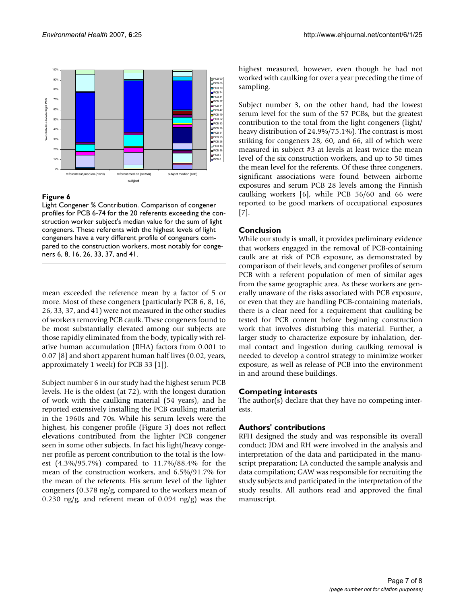

## **Figure 6**

Light Congener % Contribution. Comparison of congener profiles for PCB 6-74 for the 20 referents exceeding the construction worker subject's median value for the sum of light congeners. These referents with the highest levels of light congeners have a very different profile of congeners compared to the construction workers, most notably for congeners 6, 8, 16, 26, 33, 37, and 41.

mean exceeded the reference mean by a factor of 5 or more. Most of these congeners (particularly PCB 6, 8, 16, 26, 33, 37, and 41) were not measured in the other studies of workers removing PCB caulk. These congeners found to be most substantially elevated among our subjects are those rapidly eliminated from the body, typically with relative human accumulation (RHA) factors from 0.001 to 0.07 [8] and short apparent human half lives (0.02, years, approximately 1 week) for PCB 33 [1]).

Subject number 6 in our study had the highest serum PCB levels. He is the oldest (at 72), with the longest duration of work with the caulking material (54 years), and he reported extensively installing the PCB caulking material in the 1960s and 70s. While his serum levels were the highest, his congener profile (Figure 3) does not reflect elevations contributed from the lighter PCB congener seen in some other subjects. In fact his light/heavy congener profile as percent contribution to the total is the lowest (4.3%/95.7%) compared to 11.7%/88.4% for the mean of the construction workers, and 6.5%/91.7% for the mean of the referents. His serum level of the lighter congeners (0.378 ng/g, compared to the workers mean of 0.230 ng/g, and referent mean of 0.094 ng/g) was the highest measured, however, even though he had not worked with caulking for over a year preceding the time of sampling.

Subject number 3, on the other hand, had the lowest serum level for the sum of the 57 PCBs, but the greatest contribution to the total from the light congeners (light/ heavy distribution of 24.9%/75.1%). The contrast is most striking for congeners 28, 60, and 66, all of which were measured in subject #3 at levels at least twice the mean level of the six construction workers, and up to 50 times the mean level for the referents. Of these three congeners, significant associations were found between airborne exposures and serum PCB 28 levels among the Finnish caulking workers [6], while PCB 56/60 and 66 were reported to be good markers of occupational exposures [7].

## **Conclusion**

While our study is small, it provides preliminary evidence that workers engaged in the removal of PCB-containing caulk are at risk of PCB exposure, as demonstrated by comparison of their levels, and congener profiles of serum PCB with a referent population of men of similar ages from the same geographic area. As these workers are generally unaware of the risks associated with PCB exposure, or even that they are handling PCB-containing materials, there is a clear need for a requirement that caulking be tested for PCB content before beginning construction work that involves disturbing this material. Further, a larger study to characterize exposure by inhalation, dermal contact and ingestion during caulking removal is needed to develop a control strategy to minimize worker exposure, as well as release of PCB into the environment in and around these buildings.

#### **Competing interests**

The author(s) declare that they have no competing interests.

## **Authors' contributions**

RFH designed the study and was responsible its overall conduct; JDM and RH were involved in the analysis and interpretation of the data and participated in the manuscript preparation; LA conducted the sample analysis and data compilation; GAW was responsible for recruiting the study subjects and participated in the interpretation of the study results. All authors read and approved the final manuscript.